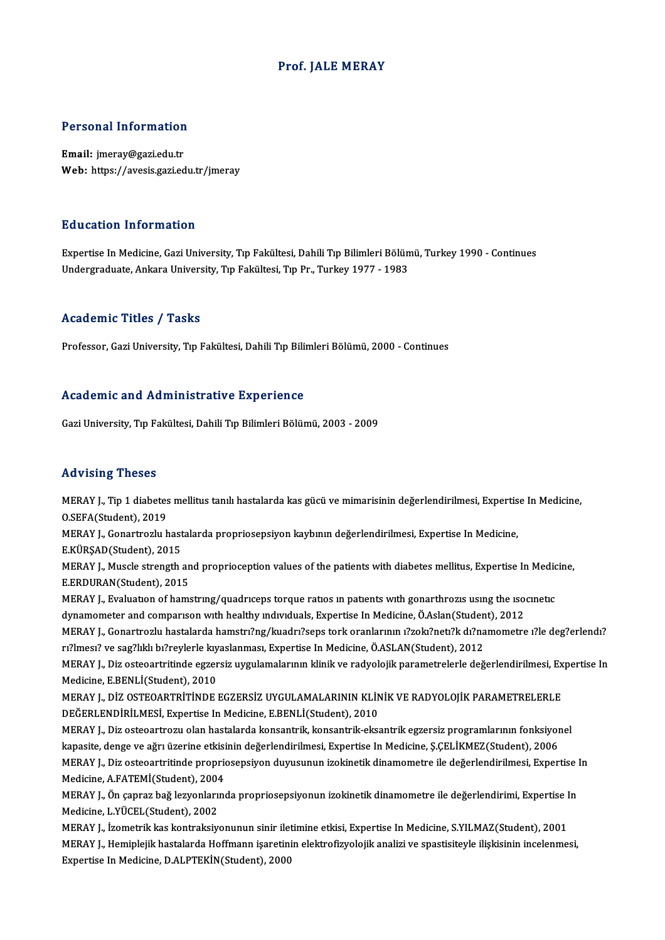### Prof. JALE MERAY

# Personal Information

Personal Information<br>Email: jmeray@gazi.edu.tr<br>Web: https://ayesis.gari.ed Email: jmeray@gazi.edu.tr<br>Web: https://avesis.gazi.edu.tr/jmeray

#### Education Information

Education Information<br>Expertise In Medicine, Gazi University, Tıp Fakültesi, Dahili Tıp Bilimleri Bölümü, Turkey 1990 - Continues<br>Undergraduate Ankara University, Tıp Fakültesi, Tıp Pr. Turkey 1977, 1993 Luususeen entselmatessen<br>Expertise In Medicine, Gazi University, Tıp Fakültesi, Dahili Tıp Bilimleri Bölün<br>Undergraduate, Ankara University, Tıp Fakültesi, Tıp Pr., Turkey 1977 - 1983 Undergraduate, Ankara University, Tıp Fakültesi, Tıp Pr., Turkey 1977 - 1983<br>Academic Titles / Tasks

Professor, Gazi University, Tıp Fakültesi, Dahili Tıp Bilimleri Bölümü, 2000 - Continues

#### Academic and Administrative Experience

Gazi University, Tıp Fakültesi, Dahili Tıp Bilimleri Bölümü, 2003 - 2009

#### Advising Theses

MERAY J., Tip 1 diabetes mellitus tanılı hastalarda kas gücü ve mimarisinin değerlendirilmesi, Expertise In Medicine, O.SEFA(Student),2019 MERAY J., Tip 1 diabetes mellitus tanılı hastalarda kas gücü ve mimarisinin değerlendirilmesi, Expertis<br>O.SEFA(Student), 2019<br>MERAY J., Gonartrozlu hastalarda propriosepsiyon kaybının değerlendirilmesi, Expertise In Medici O.SEFA(Student), 2019<br>MERAY J., Gonartrozlu hast<br>E.KÜRŞAD(Student), 2015<br>MERAY J. Musele strength

MERAY J., Gonartrozlu hastalarda propriosepsiyon kaybının değerlendirilmesi, Expertise In Medicine,<br>E.KÜRŞAD(Student), 2015<br>MERAY J., Muscle strength and proprioception values of the patients with diabetes mellitus, Expert E.KÜRŞAD(Student), 2015<br>MERAY J., Muscle strength an<br>E.ERDURAN(Student), 2015<br>MERAY L. Evaluation of hame MERAY J., Muscle strength and proprioception values of the patients with diabetes mellitus, Expertise In Medic<br>E.ERDURAN(Student), 2015<br>MERAY J., Evaluation of hamstring/quadriceps torque ratios in patients with gonarthroz

E.ERDURAN(Student), 2015<br>MERAY J., Evaluation of hamstring/quadriceps torque ratios in patients with gonarthrozis using the iso<br>dynamometer and comparison with healthy individuals, Expertise In Medicine, Ö.Aslan(Student),

MERAY J., Evaluation of hamstring/quadriceps torque ratios in patients with gonarthrozis using the isocinetic<br>dynamometer and comparison with healthy individuals, Expertise In Medicine, Ö.Aslan(Student), 2012<br>MERAY J., Gon dynamometer and comparison with healthy individuals, Expertise In Medicine, Ö.Aslan(Studen<br>MERAY J., Gonartrozlu hastalarda hamstri?ng/kuadri?seps tork oranlarının i?zoki?neti?k dı?na<br>12/2012 - Timesi? ve sag?lıklı bi?reyl MERAY J., Gonartrozlu hastalarda hamstrı?ng/kuadrı?seps tork oranlarının ı?zokı?netı?k dı?namometre ı?le deg?erlendı?<br>rı?lmesı? ve sag?lıklı bı?reylerle kıyaslanması, Expertise In Medicine, Ö.ASLAN(Student), 2012<br>MERAY J.,

rı?lmesı? ve sag?lıklı bı?reylerle kıy<br>MERAY J., Diz osteoartritinde egzer<br>Medicine, E.BENLİ(Student), 2010<br>MERAY L. DİZ OSTEOARTRİTİNDE MERAY J., Diz osteoartritinde egzersiz uygulamalarının klinik ve radyolojik parametrelerle değerlendirilmesi, Ex<br>Medicine, E.BENLİ(Student), 2010<br>MERAY J., DİZ OSTEOARTRİTİNDE EGZERSİZ UYGULAMALARININ KLİNİK VE RADYOLOJİK

Medicine, E.BENLİ(Student), 2010<br>MERAY J., DİZ OSTEOARTRİTİNDE EGZERSİZ UYGULAMALARININ KLİN<br>DEĞERLENDİRİLMESİ, Expertise In Medicine, E.BENLİ(Student), 2010<br>MERAY L. Diz estecertreru olan bestekarda konsentrik, konsentrik MERAY J., DİZ OSTEOARTRİTİNDE EGZERSİZ UYGULAMALARININ KLİNİK VE RADYOLOJİK PARAMETRELERLE<br>DEĞERLENDİRİLMESİ, Expertise In Medicine, E.BENLİ(Student), 2010<br>MERAY J., Diz osteoartrozu olan hastalarda konsantrik, konsantrik-

DEĞERLENDİRİLMESİ, Expertise In Medicine, E.BENLİ(Student), 2010<br>MERAY J., Diz osteoartrozu olan hastalarda konsantrik, konsantrik-eksantrik egzersiz programlarının fonksiyonel<br>kapasite, denge ve ağrı üzerine etkisinin değ MERAY J., Diz osteoartrozu olan hastalarda konsantrik, konsantrik-eksantrik egzersiz programlarının fonksiyonel<br>kapasite, denge ve ağrı üzerine etkisinin değerlendirilmesi, Expertise In Medicine, Ş.ÇELİKMEZ(Student), 2006<br> kapasite, denge ve ağrı üzerine etkisi<br>MERAY J., Diz osteoartritinde proprio<br>Medicine, A.FATEMİ(Student), 2004<br>MERAY J. Ön sanrar bağ larvanlarına MERAY J., Diz osteoartritinde propriosepsiyon duyusunun izokinetik dinamometre ile değerlendirilmesi, Expertise<br>Medicine, A.FATEMİ(Student), 2004<br>MERAY J., Ön çapraz bağ lezyonlarında propriosepsiyonun izokinetik dinamomet

Medicine, A.FATEMİ(Student), 2004<br>MERAY J., Ön çapraz bağ lezyonları<br>Medicine, L.YÜCEL(Student), 2002<br>MERAY L. İsomatrik kaş kontraksiy MERAY J., Ön çapraz bağ lezyonlarında propriosepsiyonun izokinetik dinamometre ile değerlendirimi, Expertise I<br>Medicine, L.YÜCEL(Student), 2002<br>MERAY J., İzometrik kas kontraksiyonunun sinir iletimine etkisi, Expertise In

Medicine, L.YÜCEL(Student), 2002<br>MERAY J., İzometrik kas kontraksiyonunun sinir iletimine etkisi, Expertise In Medicine, S.YILMAZ(Student), 2001<br>MERAY J., Hemiplejik hastalarda Hoffmann işaretinin elektrofizyolojik analizi Expertise In Medicine, D.ALPTEKİN(Student), 2000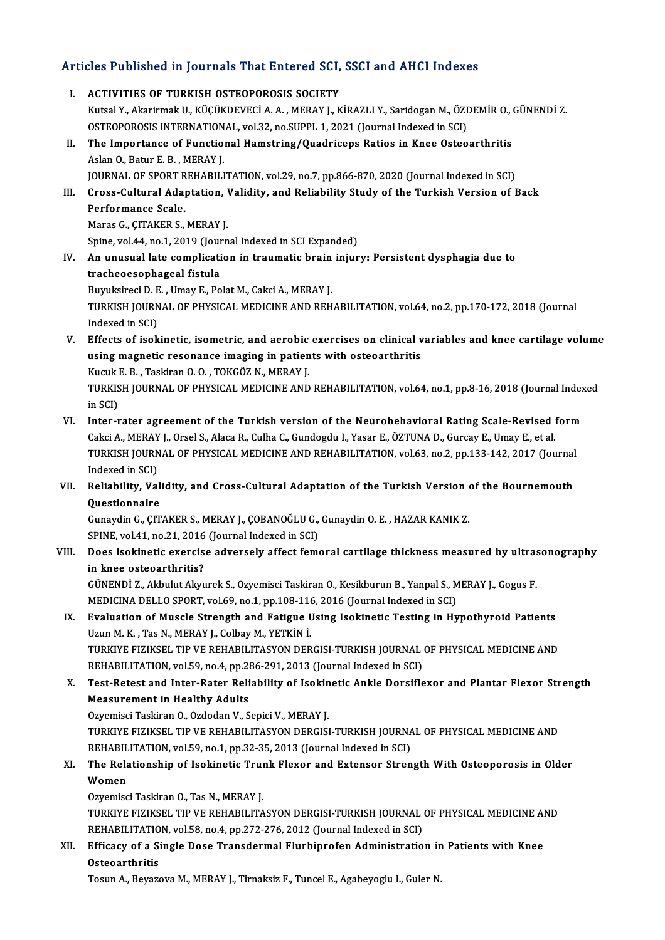# Articles Published in Journals That Entered SCI, SSCI and AHCI Indexes

| Articles Published in Journals That Entered SCI, SSCI and AHCI Indexes |                                                                                                                                                                                                                 |
|------------------------------------------------------------------------|-----------------------------------------------------------------------------------------------------------------------------------------------------------------------------------------------------------------|
| L.                                                                     | <b>ACTIVITIES OF TURKISH OSTEOPOROSIS SOCIETY</b>                                                                                                                                                               |
|                                                                        | Kutsal Y., Akarirmak U., KÜÇÜKDEVECİ A. A., MERAY J., KİRAZLI Y., Saridogan M., ÖZDEMİR O., GÜNENDİ Z.                                                                                                          |
|                                                                        | OSTEOPOROSIS INTERNATIONAL, vol.32, no.SUPPL 1, 2021 (Journal Indexed in SCI)                                                                                                                                   |
| П.                                                                     | The Importance of Functional Hamstring/Quadriceps Ratios in Knee Osteoarthritis                                                                                                                                 |
|                                                                        | Aslan O., Batur E. B., MERAY J.                                                                                                                                                                                 |
| III.                                                                   | JOURNAL OF SPORT REHABILITATION, vol.29, no.7, pp.866-870, 2020 (Journal Indexed in SCI)                                                                                                                        |
|                                                                        | Cross-Cultural Adaptation, Validity, and Reliability Study of the Turkish Version of Back<br>Performance Scale.                                                                                                 |
|                                                                        | Maras G., ÇITAKER S., MERAY J.                                                                                                                                                                                  |
|                                                                        | Spine, vol.44, no.1, 2019 (Journal Indexed in SCI Expanded)                                                                                                                                                     |
| IV.                                                                    | An unusual late complication in traumatic brain injury: Persistent dysphagia due to                                                                                                                             |
|                                                                        | tracheoesophageal fistula                                                                                                                                                                                       |
|                                                                        | Buyuksireci D. E., Umay E., Polat M., Cakci A., MERAY J.                                                                                                                                                        |
|                                                                        | TURKISH JOURNAL OF PHYSICAL MEDICINE AND REHABILITATION, vol.64, no.2, pp.170-172, 2018 (Journal                                                                                                                |
|                                                                        | Indexed in SCI)                                                                                                                                                                                                 |
| V.                                                                     | Effects of isokinetic, isometric, and aerobic exercises on clinical variables and knee cartilage volume                                                                                                         |
|                                                                        | using magnetic resonance imaging in patients with osteoarthritis                                                                                                                                                |
|                                                                        | Kucuk E. B., Taskiran O. O., TOKGÖZ N., MERAY J.                                                                                                                                                                |
|                                                                        | TURKISH JOURNAL OF PHYSICAL MEDICINE AND REHABILITATION, vol.64, no.1, pp.8-16, 2018 (Journal Indexed                                                                                                           |
|                                                                        | in SCI)                                                                                                                                                                                                         |
| VI.                                                                    | Inter-rater agreement of the Turkish version of the Neurobehavioral Rating Scale-Revised form<br>Cakci A., MERAY J., Orsel S., Alaca R., Culha C., Gundogdu I., Yasar E., ÖZTUNA D., Gurcay E., Umay E., et al. |
|                                                                        | TURKISH JOURNAL OF PHYSICAL MEDICINE AND REHABILITATION, vol.63, no.2, pp.133-142, 2017 (Journal                                                                                                                |
|                                                                        | Indexed in SCI)                                                                                                                                                                                                 |
| VII.                                                                   | Reliability, Validity, and Cross-Cultural Adaptation of the Turkish Version of the Bournemouth                                                                                                                  |
|                                                                        | Questionnaire                                                                                                                                                                                                   |
|                                                                        | Gunaydin G., ÇITAKER S., MERAY J., ÇOBANOĞLU G., Gunaydin O. E., HAZAR KANIK Z.                                                                                                                                 |
|                                                                        | SPINE, vol.41, no.21, 2016 (Journal Indexed in SCI)                                                                                                                                                             |
| VIII.                                                                  | Does isokinetic exercise adversely affect femoral cartilage thickness measured by ultrasonography                                                                                                               |
|                                                                        | in knee osteoarthritis?                                                                                                                                                                                         |
|                                                                        | GÜNENDİ Z., Akbulut Akyurek S., Ozyemisci Taskiran O., Kesikburun B., Yanpal S., MERAY J., Gogus F.                                                                                                             |
|                                                                        | MEDICINA DELLO SPORT, vol.69, no.1, pp.108-116, 2016 (Journal Indexed in SCI)                                                                                                                                   |
| IX.                                                                    | Evaluation of Muscle Strength and Fatigue Using Isokinetic Testing in Hypothyroid Patients                                                                                                                      |
|                                                                        | Uzun M. K., Tas N., MERAY J., Colbay M., YETKİN İ.<br>TURKIYE FIZIKSEL TIP VE REHABILITASYON DERGISI-TURKISH JOURNAL OF PHYSICAL MEDICINE AND                                                                   |
|                                                                        | REHABILITATION, vol.59, no.4, pp.286-291, 2013 (Journal Indexed in SCI)                                                                                                                                         |
| Х.                                                                     | Test-Retest and Inter-Rater Reliability of Isokinetic Ankle Dorsiflexor and Plantar Flexor Strength                                                                                                             |
|                                                                        | <b>Measurement in Healthy Adults</b>                                                                                                                                                                            |
|                                                                        | Ozyemisci Taskiran O., Ozdodan V., Sepici V., MERAY J.                                                                                                                                                          |
|                                                                        | TURKIYE FIZIKSEL TIP VE REHABILITASYON DERGISI-TURKISH JOURNAL OF PHYSICAL MEDICINE AND                                                                                                                         |
|                                                                        | REHABILITATION, vol.59, no.1, pp.32-35, 2013 (Journal Indexed in SCI)                                                                                                                                           |
| XI.                                                                    | The Relationship of Isokinetic Trunk Flexor and Extensor Strength With Osteoporosis in Older                                                                                                                    |
|                                                                        | Women                                                                                                                                                                                                           |
|                                                                        | Ozyemisci Taskiran O., Tas N., MERAY J.                                                                                                                                                                         |
|                                                                        | TURKIYE FIZIKSEL TIP VE REHABILITASYON DERGISI-TURKISH JOURNAL OF PHYSICAL MEDICINE AND                                                                                                                         |
|                                                                        | REHABILITATION, vol.58, no.4, pp.272-276, 2012 (Journal Indexed in SCI)                                                                                                                                         |
| XII.                                                                   | Efficacy of a Single Dose Transdermal Flurbiprofen Administration in Patients with Knee<br>Osteoarthritis                                                                                                       |
|                                                                        | Tosun A., Beyazova M., MERAY J., Tirnaksiz F., Tuncel E., Agabeyoglu I., Guler N.                                                                                                                               |
|                                                                        |                                                                                                                                                                                                                 |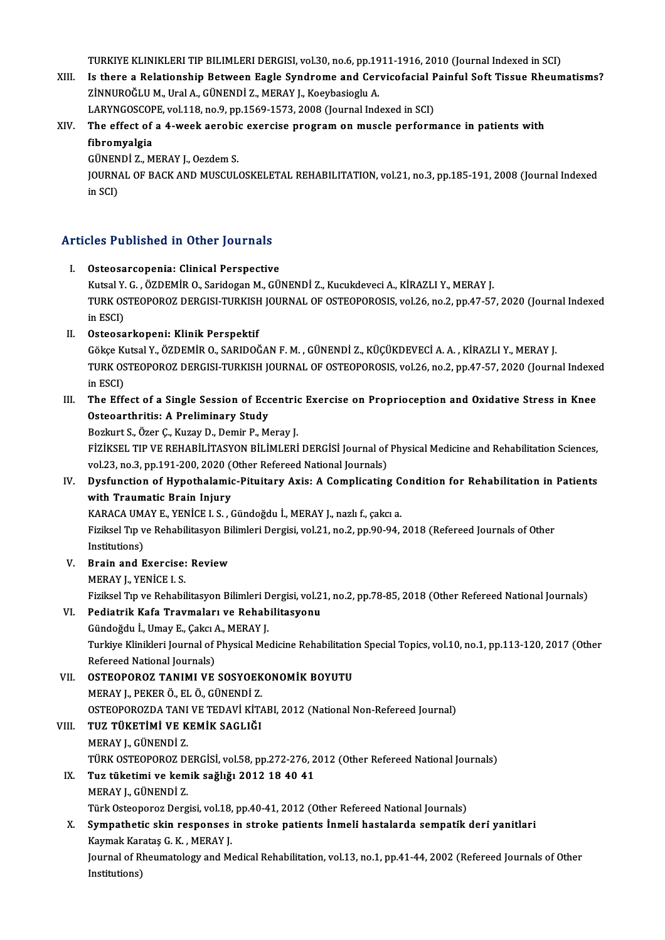TURKIYE KLINIKLERI TIP BILIMLERI DERGISI, vol.30, no.6, pp.1911-1916, 2010 (Journal Indexed in SCI)<br>Is there a Belationship Between Fosle Syndneme and Cenyisefecial Beinful Seft Tissue Bhoum

TURKIYE KLINIKLERI TIP BILIMLERI DERGISI, vol.30, no.6, pp.1911-1916, 2010 (Journal Indexed in SCI)<br>XIII. Is there a Relationship Between Eagle Syndrome and Cervicofacial Painful Soft Tissue Rheumatisms? TURKIYE KLINIKLERI TIP BILIMLERI DERGISI, vol.30, no.6, pp.19<br>Is there a Relationship Between Eagle Syndrome and Cer<br>ZİNNUROĞLU M., Ural A., GÜNENDİ Z., MERAY J., Koeybasioglu A.<br>LARVNCOSCOPE vol.118, no.9, nn.1569, 1572, Is there a Relationship Between Eagle Syndrome and Cervicofacial P<br>ZINNUROĞLU M., Ural A., GÜNENDİ Z., MERAY J., Koeybasioglu A.<br>LARYNGOSCOPE, vol.118, no.9, pp.1569-1573, 2008 (Journal Indexed in SCI)<br>The effect of a 4 we

LARYNGOSCOPE, vol.118, no.9, pp.1569-1573, 2008 (Journal Indexed in SCI)

ZİNNUROĞLU M., Ural A., GÜNENDİ Z., MERAY J., Koeybasioglu A.<br>LARYNGOSCOPE, vol.118, no.9, pp.1569-1573, 2008 (Journal Indexed in SCI)<br>XIV. The effect of a 4-week aerobic exercise program on muscle performance in patients The effect of a 4-week aerobie<br>fibromyalgia<br>GÜNENDİ Z., MERAY J., Oezdem S.<br>JOUPNAJ, OE BACK AND MUSCUL

JOURNAL OF BACK AND MUSCULOSKELETAL REHABILITATION, vol.21, no.3, pp.185-191, 2008 (Journal Indexed<br>in SCI) GÜNEN<br>JOURNA<br>in SCI)

# Articles Published in Other Journals

- Tricles Published in Other Journals<br>I. Osteosarcopenia: Clinical Perspective<br>Eliteral V. G. ÖZDEMİR O. Saridozan M. CÜ I. Osteosarcopenia: Clinical Perspective<br>Kutsal Y. G. , ÖZDEMİR O., Saridogan M., GÜNENDİ Z., Kucukdeveci A., KİRAZLI Y., MERAY J. Osteosarcopenia: Clinical Perspective<br>Kutsal Y. G. , ÖZDEMİR O., Saridogan M., GÜNENDİ Z., Kucukdeveci A., KİRAZLI Y., MERAY J.<br>TURK OSTEOPOROZ DERGISI-TURKISH JOURNAL OF OSTEOPOROSIS, vol.26, no.2, pp.47-57, 2020 (Journal Kutsal Y.<br>TURK OS<br>in ESCI)<br>Ostaasa in ESCI)<br>II. Osteosarkopeni: Klinik Perspektif
- GökçeKutsalY.,ÖZDEMİRO.,SARIDOĞANF.M. ,GÜNENDİZ.,KÜÇÜKDEVECİA.A. ,KİRAZLIY.,MERAYJ. TURK OSTEOPOROZ DERGISI-TURKISH JOURNAL OF OSTEOPOROSIS, vol.26, no.2, pp.47-57, 2020 (Journal Indexed in ESCI) TURK OSTEOPOROZ DERGISI-TURKISH JOURNAL OF OSTEOPOROSIS, vol.26, no.2, pp.47-57, 2020 (Journal Indexe<br>in ESCI)<br>III. The Effect of a Single Session of Eccentric Exercise on Proprioception and Oxidative Stress in Knee<br>Osteog

## in ESCI)<br>The Effect of a Single Session of Ecc<br>Osteoarthritis: A Preliminary Study<br>Porluut S. Özer C. Kurey D. Domir B. M The Effect of a Single Session of Eccentric<br>Osteoarthritis: A Preliminary Study<br>Bozkurt S., Özer Ç., Kuzay D., Demir P., Meray J.<br>Fizikçel, TIB VE BEHARİLİTASYON BU İMLERİ

Osteoarthritis: A Preliminary Study<br>Bozkurt S., Özer Ç., Kuzay D., Demir P., Meray J.<br>FİZİKSEL TIP VE REHABİLİTASYON BİLİMLERİ DERGİSİ Journal of Physical Medicine and Rehabilitation Sciences,<br>Vel 22. no.2. nn 191.200.2920 Bozkurt S., Özer Ç., Kuzay D., Demir P., Meray J.<br>FİZİKSEL TIP VE REHABİLİTASYON BİLİMLERİ DERGİSİ Journal of<br>vol.23, no.3, pp.191-200, 2020 (Other Refereed National Journals)<br>Dugfungtion of Hunothalamia Bituitaru Arisı A FİZİKSEL TIP VE REHABİLİTASYON BİLİMLERİ DERGİSİ Journal of Physical Medicine and Rehabilitation Sciences, vol.23, no.3, pp.191-200, 2020 (Other Refereed National Journals)<br>IV. Dysfunction of Hypothalamic-Pituitary Axi

## vol.23, no.3, pp.191-200, 2020 (<br>Dysfunction of Hypothalamic<br>with Traumatic Brain Injury<br>KARACA UMAY E YENICE LS Dysfunction of Hypothalamic-Pituitary Axis: A Complicating C<br>with Traumatic Brain Injury<br>KARACA UMAY E., YENİCE I. S. , Gündoğdu İ., MERAY J., nazlı f., çakcı a.<br>Fizikçel T.n.ve Behabilitasyon Bilimleri Dergisi, val 21, no

with Traumatic Brain Injury<br>KARACA UMAY E., YENİCE I. S. , Gündoğdu İ., MERAY J., nazlı f., çakcı a.<br>Fiziksel Tıp ve Rehabilitasyon Bilimleri Dergisi, vol.21, no.2, pp.90-94, 2018 (Refereed Journals of Other<br>Institutione) KARACA UM<br>Fiziksel Tıp v<br>Institutions)<br>Prain and E Fiziksel Tıp ve Rehabilitasyon Bi<br>Institutions)<br>V. Brain and Exercise: Review<br>MERAVI, VENİCE I S

Institutions)<br>V. Brain and Exercise: Review<br>MERAY J., YENİCE I. S.

Brain and Exercise: Review<br>MERAY J., YENİCE I. S.<br>Fiziksel Tıp ve Rehabilitasyon Bilimleri Dergisi, vol.21, no.2, pp.78-85, 2018 (Other Refereed National Journals)<br>Redistrik Kefe Traymaları ve Behabilitasyonu

MERAY J., YENİCE I. S.<br>Fiziksel Tıp ve Rehabilitasyon Bilimleri Dergisi, vol.2<br>VI. Pediatrik Kafa Travmaları ve Rehabilitasyonu Fiziksel Tıp ve Rehabilitasyon Bilimleri D<br><mark>Pediatrik Kafa Travmaları ve Rehab</mark><br>Gündoğdu İ., Umay E., Çakcı A., MERAY J.<br>Turkiyo Klinikleri Journal of Physical Mo VI. Pediatrik Kafa Travmaları ve Rehabilitasyonu<br>Gündoğdu İ., Umay E., Çakcı A., MERAY J.<br>Turkiye Klinikleri Journal of Physical Medicine Rehabilitation Special Topics, vol.10, no.1, pp.113-120, 2017 (Other<br>Refereed Nation Gündoğdu İ., Umay E., Çakcı A., MERAY J.

VII. OSTEOPOROZ TANIMI VE SOSYOEKONOMİK BOYUTU MERAYJ.,PEKERÖ.,ELÖ.,GÜNENDİZ. OSTEOPOROZ TANIMI VE SOSYOEKONOMİK BOYUTU<br>MERAY J., PEKER Ö., EL Ö., GÜNENDİ Z.<br>OSTEOPOROZDA TANI VE TEDAVİ KİTABI, 2012 (National Non-Refereed Journal)<br>TUZ TÜKETİMİ VE KEMİK SACLIĞI

## VIII. TUZ TÜKETİMİ VE KEMİK SAGLIĞI<br>MERAY I. GÜNENDİ Z.

OSTEOPOROZDA TANI<br><mark>TUZ TÜKETİMİ VE K</mark><br>MERAY J., GÜNENDİ Z.<br>TÜRK OSTEOROROZ DI TÜRK OSTEOPOROZ DERGİSİ, vol.58, pp.272-276, 2012 (Other Refereed National Journals) MERAY J., GÜNENDİ Z.<br>TÜRK OSTEOPOROZ DERGİSİ, vol.58, pp.272-276, 2<br>IX. Tuz tüketimi ve kemik sağlığı 2012 18 40 41<br>MERAY L. GÜNENDİ 7

## TÜRK OSTEOPOROZ DI<br><mark>Tuz tüketimi ve kem</mark><br>MERAY J., GÜNENDİ Z.<br>Türk Osteoporoz Dorg Tuz tüketimi ve kemik sağlığı 2012 18 40 41<br>MERAY J., GÜNENDİ Z.<br>Türk Osteoporoz Dergisi, vol.18, pp.40-41, 2012 (Other Refereed National Journals)<br>Sympathetis ekip responses in stroke patienta İnmeli bestelende sempatik

## MERAY J., GÜNENDİ Z.<br>Türk Osteoporoz Dergisi, vol.18, pp.40-41, 2012 (Other Refereed National Journals)<br>X. Sympathetic skin responses in stroke patients İnmeli hastalarda sempatik deri yanitlari Türk Osteoporoz Dergisi, vol.18,<br>S**ympathetic skin responses**<br>Kaymak Karataş G. K. , MERAY J.<br>Journal of Phoumatelogy and M. Kaymak Karataş G. K., MERAY J.

Journal of Rheumatology and Medical Rehabilitation, vol.13, no.1, pp.41-44, 2002 (Refereed Journals of Other<br>Institutions)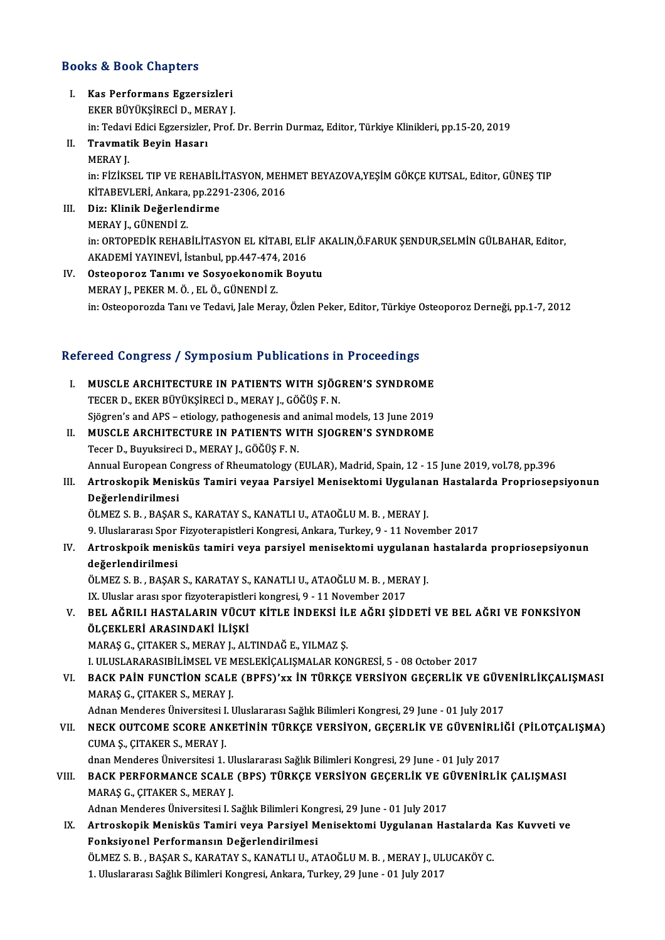### Books&Book Chapters

- I. Kas Performans Egzersizleri EKER BÜYÜKŞİRECI<br>EKER BÜYÜKŞİRECİ D., MERAY J.<br>İn: Tedevi Edici Essensizler Pref. Kas Performans Egzersizleri<br>EKER BÜYÜKŞİRECİ D., MERAY J.<br>in: Tedavi Edici Egzersizler, Prof. Dr. Berrin Durmaz, Editor, Türkiye Klinikleri, pp.15-20, 2019<br>Traymatik Pevin Hassrı EKER BÜYÜKŞİRECİ D., ME.<br>in: Tedavi Edici Egzersizler,<br>II. Travmatik Beyin Hasarı<br>MERAY I
- in: Tedavi<br><mark>Travmat</mark><br>MERAY J.<br>in: ElZi*vs* II. Travmatik Beyin Hasarı<br>MERAY J.<br>in: FİZİKSEL TIP VE REHABİLİTASYON, MEHMET BEYAZOVA,YEŞİM GÖKÇE KUTSAL, Editor, GÜNEŞ TIP MERAY J.<br>in: FİZİKSEL TIP VE REHABİLİTASYON, MEH.<br>KİTABEVLERİ, Ankara, pp.2291-2306, 2016<br>Dir: Klinik Doğarlandirme
- III. Diz: Klinik Değerlendirme<br>MERAY J., GÜNENDİ Z. KİTABEVLERİ, Ankara,<br>Diz: Klinik Değerlen<br>MERAY J., GÜNENDİ Z.<br>in: OPTOPEDİK PEHAE in: ORTOPEDİK REHABİLİTASYON EL KİTABI, ELİF AKALIN,Ö.FARUK SENDUR,SELMİN GÜLBAHAR, Editor, AKADEMİ YAYINEVİ, İstanbul, pp.447-474, 2016
- IV. Osteoporoz Tanımı ve Sosyoekonomik Boyutu MERAYJ.,PEKERM.Ö. ,ELÖ.,GÜNENDİZ. in: Osteoporozda Tanı ve Tedavi, Jale Meray, Özlen Peker, Editor, Türkiye Osteoporoz Derneği, pp.1-7, 2012

### Refereed Congress / Symposium Publications in Proceedings

efereed Congress / Symposium Publications in Proceedings<br>I. MUSCLE ARCHITECTURE IN PATIENTS WITH SJÖGREN'S SYNDROME<br>TECER D. EKER PÜVÜKSIRECİ D. MERAV L. GÖĞÜS E. N. TECERD., EKER BÜYÜKŞİRECİDIR TABINDANDAN HA<br>TECER D., EKER BÜYÜKŞİRECİ D., MERAY J., GÖĞÜŞ F. N.<br>Siğayan'a and APS – atiaları: nathaganasıs and animal n MUSCLE ARCHITECTURE IN PATIENTS WITH SJÖGREN'S SYNDROME<br>TECER D., EKER BÜYÜKŞİRECİ D., MERAY J., GÖĞÜŞ F. N.<br>Sjögren's and APS – etiology, pathogenesis and animal models, 13 June 2019<br>MUSCLE ARCHITECTURE IN RATIENTS WITH S TECER D., EKER BÜYÜKŞİRECİ D., MERAY J., GÖĞÜŞ F. N.<br>Sjögren's and APS – etiology, pathogenesis and animal models, 13 June 2019<br>II. MUSCLE ARCHITECTURE IN PATIENTS WITH SJOGREN'S SYNDROME TecerD.,BuyuksireciD.,MERAYJ.,GÖĞÜŞ F.N. MUSCLE ARCHITECTURE IN PATIENTS WITH SJOGREN'S SYNDROME<br>Tecer D., Buyuksireci D., MERAY J., GÖĞÜŞ F. N.<br>Annual European Congress of Rheumatology (EULAR), Madrid, Spain, 12 - 15 June 2019, vol.78, pp.396<br>Antroskopik Moniskü Tecer D., Buyuksireci D., MERAY J., GÖĞÜŞ F. N.<br>Annual European Congress of Rheumatology (EULAR), Madrid, Spain, 12 - 15 June 2019, vol.78, pp.396<br>III. Artroskopik Menisküs Tamiri veyaa Parsiyel Menisektomi Uygulanan H

## Annual European Co<br>Artroskopik Menis<br>Değerlendirilmesi<br>ÖLMEZ S. B. BASAB Artroskopik Menisküs Tamiri veyaa Parsiyel Menisektomi Uygulana<br>Değerlendirilmesi<br>ÖLMEZ S. B., BAŞAR S., KARATAY S., KANATLI U., ATAOĞLU M. B. , MERAY J.<br>9. Uluslararası Spor Eizyoteropistleri Kongresi, Arkara, Turkay 9., Değerlendirilmesi<br>ÖLMEZ S. B. , BAŞAR S., KARATAY S., KANATLI U., ATAOĞLU M. B. , MERAY J.<br>9. Uluslararası Spor Fizyoterapistleri Kongresi, Ankara, Turkey, 9 - 11 November 2017<br>Artrosknojk menisküs temiri yeve porsiyal men

## ÖLMEZ S. B. , BAŞAR S., KARATAY S., KANATLI U., ATAOĞLU M. B. , MERAY J.<br>9. Uluslararası Spor Fizyoterapistleri Kongresi, Ankara, Turkey, 9 - 11 November 2017<br>IV. Artroskpoik menisküs tamiri veya parsiyel menisektomi u 9. Uluslararası Spor<br>Artroskpoik menis<br>değerlendirilmesi<br>ÖLMEZ S. B. PASAP Artroskpoik menisküs tamiri veya parsiyel menisektomi uygulanan<br>değerlendirilmesi<br>ÖLMEZ S. B. , BAŞAR S., KARATAY S., KANATLI U., ATAOĞLU M. B. , MERAY J.<br>IV. Uluslar arası spor fizyataranistlari kanaresi 9.–11 Navambar 20

değerlendirilmesi<br>ÖLMEZ S. B. , BAŞAR S., KARATAY S., KANATLI U., ATAOĞLU M. B. , MER<br>IX. Uluslar arası spor fizyoterapistleri kongresi, 9 - 11 November 2017<br>PEL AĞPILL HASTALAPIN VÜCUT KİTLE İNDEKSİ İLE AĞPL SİDI

ÖLMEZ S. B. , BAŞAR S., KARATAY S., KANATLI U., ATAOĞLU M. B. , MERAY J.<br>IX. Uluslar arası spor fizyoterapistleri kongresi, 9 - 11 November 2017<br>V. BEL AĞRILI HASTALARIN VÜCUT KİTLE İNDEKSİ İLE AĞRI ŞİDDETİ VE BEL AĞRI IX. Uluslar arası spor fizyoterapistler<br>BEL AĞRILI HASTALARIN VÜCU<br>ÖLÇEKLERİ ARASINDAKİ İLİŞKİ<br>MARAS C. CITAKER S. MERAY LALI BEL AĞRILI HASTALARIN VÜCUT KİTLE İNDEKSİ İL<br>ÖLÇEKLERİ ARASINDAKİ İLİŞKİ<br>MARAŞ G., ÇITAKER S., MERAY J., ALTINDAĞ E., YILMAZ Ş.<br>LIILUSLARASIRİLİMSEL VE MESLEVICALISMALAR KOL ÖLÇEKLERİ ARASINDAKİ İLİŞKİ<br>MARAŞ G., ÇITAKER S., MERAY J., ALTINDAĞ E., YILMAZ Ş.<br>I. ULUSLARARASIBİLİMSEL VE MESLEKİÇALIŞMALAR KONGRESİ, 5 - 08 October 2017<br>BACK BAİN EUNCTİON SCALE (BBES)'uy İN TÜBKCE VERSİYON CECEBL İK

## MARAŞ G., ÇITAKER S., MERAY J., ALTINDAĞ E., YILMAZ Ş.<br>I. ULUSLARARASIBİLİMSEL VE MESLEKİÇALIŞMALAR KONGRESİ, 5 - 08 October 2017<br>VI. BACK PAİN FUNCTİON SCALE (BPFS)'xx İN TÜRKÇE VERSİYON GEÇERLİK VE GÜVENİRLİKÇALIŞMAS I. ULUSLARARASIBİLİMSEL VE M<br>BACK PAİN FUNCTİON SCALI<br>MARAŞ G., ÇITAKER S., MERAY J.<br>Adnan Mandanas Üniversitesi I. I BACK PAİN FUNCTİON SCALE (BPFS)'xx İN TÜRKÇE VERSİYON GEÇERLİK VE GÜVI<br>MARAŞ G., ÇITAKER S., MERAY J.<br>Adnan Menderes Üniversitesi I. Uluslararası Sağlık Bilimleri Kongresi, 29 June - 01 July 2017<br>NECK OUTCOME SCORE ANKETİN

## VI . NECK OUTCOME SCORE ANKETİNİN TÜRKÇE VERSİYON, GEÇERLİK VE GÜVENİRLİĞİ (PİLOTÇALIŞMA) Adnan Menderes Üniversitesi I.<br>NECK OUTCOME SCORE ANI<br>CUMA Ș., ÇITAKER S., MERAY J.<br>dnan Menderes Üniversitesi 1 NECK OUTCOME SCORE ANKETİNİN TÜRKÇE VERSİYON, GEÇERLİK VE GÜVENİRLİ<br>CUMA Ş., ÇITAKER S., MERAY J.<br>dnan Menderes Üniversitesi 1. Uluslararası Sağlık Bilimleri Kongresi, 29 June - 01 July 2017<br>PACK PEREOPMANCE SCALE (PPS) TÜ

dnan Menderes Üniversitesi 1. Uluslararası Sağlık Bilimleri Kongresi, 29 June - 01 July 2017

# CUMA Ş., ÇITAKER S., MERAY J.<br>dnan Menderes Üniversitesi 1. Uluslararası Sağlık Bilimleri Kongresi, 29 June - 01 July 2017<br>VIII. BACK PERFORMANCE SCALE (BPS) TÜRKÇE VERSİYON GEÇERLİK VE GÜVENİRLİK ÇALIŞMASI<br>MARAS G., CITAK BACK PERFORMANCE SCALE (BPS) TÜRKÇE VERSİYON GEÇERLİK VE G<br>MARAŞ G., ÇITAKER S., MERAY J.<br>Adnan Menderes Üniversitesi I. Sağlık Bilimleri Kongresi, 29 June - 01 July 2017<br>Artroskonik Monisküs Tamiri yova Parsiyal Monisskto

MARAŞ G., ÇITAKER S., MERAY J.<br>Adnan Menderes Üniversitesi I. Sağlık Bilimleri Kongresi, 29 June - 01 July 2017<br>IX. Artroskopik Menisküs Tamiri veya Parsiyel Menisektomi Uygulanan Hastalarda Kas Kuvveti ve<br>Fenksivenel Adnan Menderes Üniversitesi I. Sağlık Bilimleri Kon<br>Artroskopik Menisküs Tamiri veya Parsiyel M<br>Fonksiyonel Performansın Değerlendirilmesi<br>ÖLMEZ S. B. BASAR S. KARATAV S. KANATLLU. A' Artroskopik Menisküs Tamiri veya Parsiyel Menisektomi Uygulanan Hastalarda<br>Fonksiyonel Performansın Değerlendirilmesi<br>ÖLMEZ S.B., BAŞAR S., KARATAY S., KANATLI U., ATAOĞLU M.B. , MERAY J., ULUCAKÖY C.<br>1. Uluslararası Sağlı Fonksiyonel Performansın Değerlendirilmesi<br>ÖLMEZ S. B. , BAŞAR S., KARATAY S., KANATLI U., ATAOĞLU M. B. , MERAY J., ULUCAKÖY C.<br>1. Uluslararası Sağlık Bilimleri Kongresi, Ankara, Turkey, 29 June - 01 July 2017